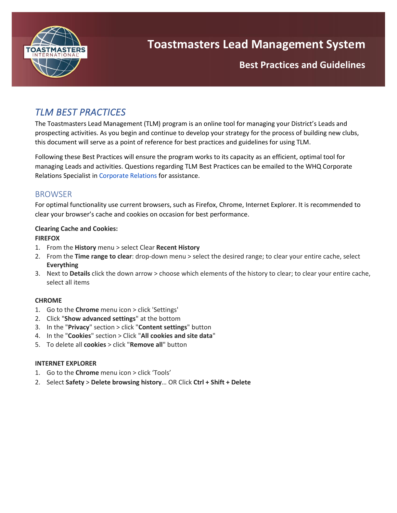

Best Practices and Guideline **Best Practices and Guidelines**

## *TLM BEST PRACTICES*

The Toastmasters Lead Management (TLM) program is an online tool for managing your District's Leads and prospecting activities. As you begin and continue to develop your strategy for the process of building new clubs, this document will serve as a point of reference for best practices and guidelines for using TLM.

Following these Best Practices will ensure the program works to its capacity as an efficient, optimal tool for managing Leads and activities. Questions regarding TLM Best Practices can be emailed to the WHQ Corporate Relations Specialist in [Corporate Relations](mailto:corporaterelations@toastmasters.org) for assistance.

### **BROWSER**

For optimal functionality use current browsers, such as Firefox, Chrome, Internet Explorer. It is recommended to clear your browser's cache and cookies on occasion for best performance.

### **Clearing Cache and Cookies:**

#### **FIREFOX**

- 1. From the **History** menu > select Clear **Recent History**
- 2. From the **Time range to clear**: drop-down menu > select the desired range; to clear your entire cache, select **Everything**
- 3. Next to **Details** click the down arrow > choose which elements of the history to clear; to clear your entire cache, select all items

### **CHROME**

- 1. Go to the **Chrome** menu icon > click 'Settings'
- 2. Click "**Show advanced settings**" at the bottom
- 3. In the "**Privacy**" section > click "**Content settings**" button
- 4. In the "**Cookies**" section > Click "**All cookies and site data**"
- 5. To delete all **cookies** > click "**Remove all**" button

#### **INTERNET EXPLORER**

- 1. Go to the **Chrome** menu icon > click 'Tools'
- 2. Select **Safety** > **Delete browsing history**… OR Click **Ctrl + Shift + Delete**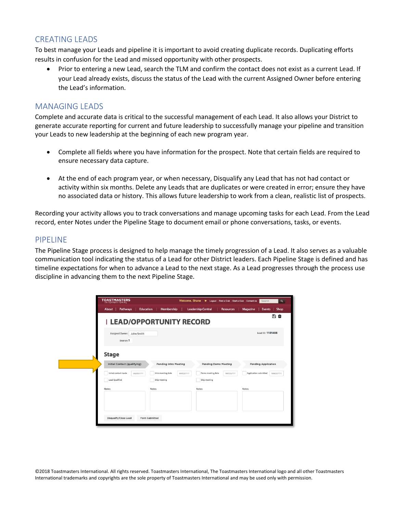### CREATING LEADS

To best manage your Leads and pipeline it is important to avoid creating duplicate records. Duplicating efforts<br>results in confusion for the Lead and missed ennertunity with other prespects. results in confusion for the Lead and missed opportunity with other prospects.

• Prior to entering a new Lead, search the TLM and confirm the contact does not exist as a current Lead. If your Lead already exists, discuss the status of the Lead with the current Assigned Owner before entering the Lead's information.

### MANAGING LEADS

Complete and accurate data is critical to the successful management of each Lead. It also allows your District to generate accurate reporting for current and future leadership to successfully manage your pipeline and transition your Leads to new leadership at the beginning of each new program year.

- Complete all fields where you have information for the prospect. Note that certain fields are required to ensure necessary data capture.
- At the end of each program year, or when necessary, Disqualify any Lead that has not had contact or activity within six months. Delete any Leads that are duplicates or were created in error; ensure they have no associated data or history. This allows future leadership to work from a clean, realistic list of prospects.

Recording your activity allows you to track conversations and manage upcoming tasks for each Lead. From the Lead record, enter Notes under the Pipeline Stage to document email or phone conversations, tasks, or events.

#### PIPELINE

The Pipeline Stage process is designed to help manage the timely progression of a Lead. It also serves as a valuable communication tool indicating the status of a Lead for other District leaders. Each Pipeline Stage is defined and has timeline expectations for when to advance a Lead to the next stage. As a Lead progresses through the process use discipline in advancing them to the next Pipeline Stage.

| <b>TOASTMASTERS</b>                          |                                  | Welcome, Shane $\overline{\phantom{a}}$ Logout   Find a Club   Start a Club   Contact Us | Search<br>$\alpha$                       |
|----------------------------------------------|----------------------------------|------------------------------------------------------------------------------------------|------------------------------------------|
| <b>Pathways</b><br><b>Education</b><br>About | Membership                       | <b>Leadership Central</b><br><b>Resources</b>                                            | Magazine<br><b>Shop</b><br><b>Events</b> |
|                                              | <b>I LEAD/OPPORTUNITY RECORD</b> |                                                                                          | n<br>Û                                   |
| Assigned Owner:<br>John Smith<br>District: 1 |                                  |                                                                                          | Lead ID: 1101488                         |
| <b>Stage</b>                                 |                                  |                                                                                          |                                          |
| <b>Initial Contact (qualifying)</b>          | <b>Pending Intro Meeting</b>     | <b>Pending Demo Meeting</b>                                                              | <b>Pending Application</b>               |
| Initial contact made<br>MM/DD/YYY            | Intro meeting date<br>MMDD/YYY   | Demo meeting date<br>MMDD/YYY                                                            | Application submitted<br>MMDD/YYY        |
| Lead Qualified                               | Skip meeting                     | Skip meeting                                                                             |                                          |
| Notes:                                       | Notes:                           | Notes:                                                                                   | Notes:                                   |
|                                              |                                  |                                                                                          |                                          |
| Disqualify/Close Lead                        | Form Submitted                   |                                                                                          |                                          |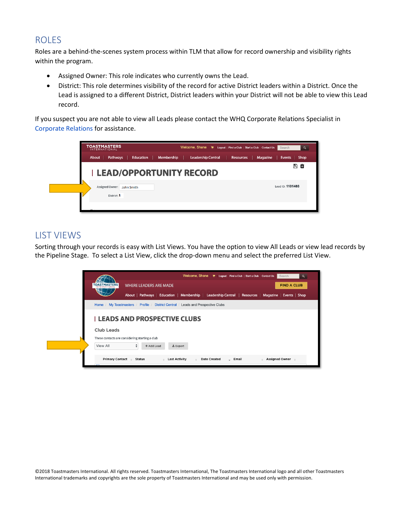## ROLES

Roles are a behind-the-scenes system process within TLM that allow for record ownership and visibility rights within the program.

- Assigned Owner: This role indicates who currently owns the Lead.
- District: This role determines visibility of the record for active District leaders within a District. Once the Lead is assigned to a different District, District leaders within your District will not be able to view this Lead record.

If you suspect you are not able to view all Leads please contact the WHQ Corporate Relations Specialist in [Corporate](mailto:corporaterelations@toastmasters.org) Relations for assistance.

| <b>TOASTMASTERS</b><br><b>INTERNATIONAL</b>                                                        | Search           |
|----------------------------------------------------------------------------------------------------|------------------|
| Pathways<br><b>Leadership Central</b><br>Education<br>Membership<br>Resources<br>Magazine<br>About | Events<br>Shop   |
| <b>I LEAD/OPPORTUNITY RECORD</b>                                                                   | B û              |
| Assigned Owner:<br>John Smith<br>District: 1                                                       | Lead ID: 1101488 |
|                                                                                                    |                  |

## LIST VIEWS

Sorting through your records is easy with List Views. You have the option to view All Leads or view lead records by the Pipeline Stage. To select a List View, click the drop-down menu and select the preferred List View.

|                                                      |                                                                            |                                                   | Welcome, Shane We Logout   Find a Club   Start a Club   Contact Us   Search |                                                                                                       | $\alpha$ |
|------------------------------------------------------|----------------------------------------------------------------------------|---------------------------------------------------|-----------------------------------------------------------------------------|-------------------------------------------------------------------------------------------------------|----------|
| <b>TOASTMASTERS</b>                                  | <b>WHERE LEADERS ARE MADE</b>                                              |                                                   |                                                                             | <b>FIND A CLUB</b>                                                                                    |          |
|                                                      |                                                                            |                                                   |                                                                             | About   Pathways   Education   Membership   Leadership Central   Resources   Magazine   Events   Shop |          |
| Home /                                               | My Toastmasters / Profile / District Central / Leads and Prospective Clubs |                                                   |                                                                             |                                                                                                       |          |
| Club Leads                                           | <b>LEADS AND PROSPECTIVE CLUBS</b>                                         |                                                   |                                                                             |                                                                                                       |          |
| View All                                             | These contacts are considering starting a club<br>٠<br>+ Add Lead          | $\pm$ Export                                      |                                                                             |                                                                                                       |          |
| Primary Contact e Status<br>$\overline{\phantom{0}}$ | $\hat{m}$                                                                  | <b>Last Activity</b><br>$\mathcal{A}_\mathcal{A}$ | <b>Date Created</b><br>- Email                                              | Assigned Owner $\epsilon$<br>$\mathcal{A}_\mathrm{b}$                                                 |          |
|                                                      |                                                                            |                                                   |                                                                             |                                                                                                       |          |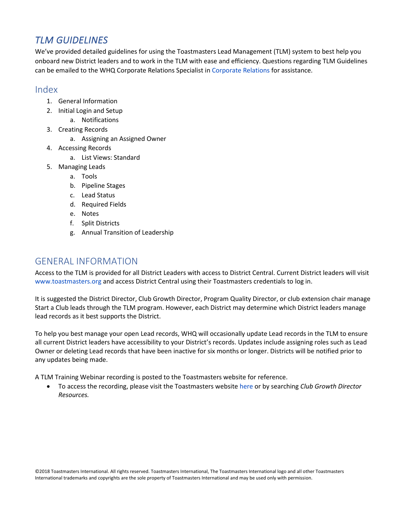# *TLM GUIDELINES*

We've provided detailed guidelines for using the Toastmasters Lead Management (TLM) system to best help you and Guideline in the Cause of the [Corporate Relations](mailto:corporaterelations@toastmasters.org) Specialist in Corporate Relations for assistance.<br>Can be emailed to the WHQ Corporate Relations Specialist in Corporate Relations for assistance. onboard new District leaders and to work in the TLM with ease and efficiency. Questions regarding TLM Guidelines

## Index

- 1. General Information
- 2. Initial Login and Setup
	- a. Notifications
- 3. Creating Records
	- a. Assigning an Assigned Owner
- 4. Accessing Records
	- a. List Views: Standard
- 5. Managing Leads
	- a. Tools
	- b. Pipeline Stages
	- c. Lead Status
	- d. Required Fields
	- e. Notes
	- f. Split Districts
	- g. Annual Transition of Leadership

## GENERAL INFORMATION

Access to the TLM is provided for all District Leaders with access to District Central. Current District leaders will visit [www.toastmasters.org](http://www.toastmasters.org/) and access District Central using their Toastmasters credentials to log in.

It is suggested the District Director, Club Growth Director, Program Quality Director, or club extension chair manage Start a Club leads through the TLM program. However, each District may determine which District leaders manage lead records as it best supports the District.

To help you best manage your open Lead records, WHQ will occasionally update Lead records in the TLM to ensure all current District leaders have accessibility to your District's records. Updates include assigning roles such as Lead Owner or deleting Lead records that have been inactive for six months or longer. Districts will be notified prior to any updates being made.

A TLM Training Webinar recording is posted to the Toastmasters website for reference.

• To access the recording, please visit the Toastmasters websit[e here](https://www.toastmasters.org/resources/club-growth-director-resources) or by searching *Club Growth Director Resources.*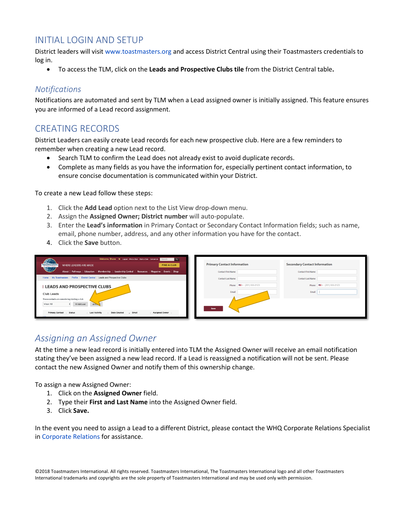## INITIAL LOGIN AND SETUP

District leaders will visit [www.toastmasters.org](http://www.toastmasters.org/) and access District Central using their Toastmasters credentials to<br>. log in.

**•** To access the TLM, click on the Leads and Prospective Clubs tile from the District Central table.

### *Notifications*

Notifications are automated and sent by TLM when a Lead assigned owner is initially assigned. This feature ensures you are informed of a Lead record assignment.

## CREATING RECORDS

District Leaders can easily create Lead records for each new prospective club. Here are a few reminders to remember when creating a new Lead record.

- Search TLM to confirm the Lead does not already exist to avoid duplicate records.
- Complete as many fields as you have the information for, especially pertinent contact information, to ensure concise documentation is communicated within your District.

To create a new Lead follow these steps:

- 1. Click the **Add Lead** option next to the List View drop-down menu.
- 2. Assign the **Assigned Owner; District number** will auto-populate.
- 3. Enter the **Lead's information** in Primary Contact or Secondary Contact Information fields; such as name, email, phone number, address, and any other information you have for the contact.
- 4. Click the **Save** button.

| Welcome, Shane <b>The Legout   Find a Club   Start a Club   Contact Us   Scarch   Q.  </b><br><b>TOASTMASTERS</b><br><b>FIND A CLUB</b><br><b>WHERE LEADERS ARE MADE</b> | <b>Primary Contact Information</b>                   | <b>Secondary Contact Information</b>           |
|--------------------------------------------------------------------------------------------------------------------------------------------------------------------------|------------------------------------------------------|------------------------------------------------|
| About   Pathways   Education   Membership   Leadership Central   Resources   Magazine   Events   Shop                                                                    | <b>Contact First Name</b>                            | <b>Contact First Name</b>                      |
| Home / My Toastmasters / Profile / District Central / Leads and Prospective Clubs                                                                                        | <b>Contact Last Name</b>                             | <b>Contact Last Name</b>                       |
| <b>LEADS AND PROSPECTIVE CLUBS</b><br>Club Leads<br>These contacts are considering starting a club<br>View All<br>+ Add Lead<br>$\triangle$ Exp.                         | Phone $\blacksquare$ (201) 555-0123<br>Email<br>Save | Phone $\blacksquare$ . (201) 555-0123<br>Email |
| Primary Contact : Status<br>- Email<br>Assigned Owner<br>- Last Activity<br><b>Date Created</b>                                                                          |                                                      |                                                |

## *Assigning an Assigned Owner*

At the time a new lead record is initially entered into TLM the Assigned Owner will receive an email notification stating they've been assigned a new lead record. If a Lead is reassigned a notification will not be sent. Please contact the new Assigned Owner and notify them of this ownership change.

To assign a new Assigned Owner:

- 1. Click on the **Assigned Owner** field.
- 2. Type their **First and Last Name** into the Assigned Owner field.
- 3. Click **Save.**

In the event you need to assign a Lead to a different District, please contact the WHQ Corporate Relations Specialist in [Corporate Relations](mailto:corporaterelations@toastmasters.org) for assistance.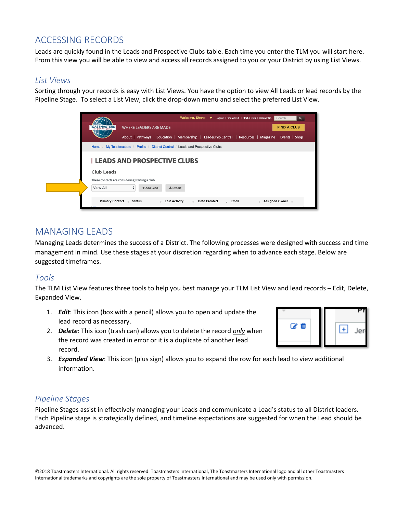## ACCESSING RECORDS

Leads are quickly found in the Leads and Prospective Clubs table. Each time you enter the TLM you will start here.<br>-Best Practices and Guideline From this view you will be able to view and access all records assigned to you or your District by using List Views.

#### *List Views*

Sorting through your records is easy with List Views. You have the option to view All Leads or lead records by the Pipeline Stage. To select a List View, click the drop-down menu and select the preferred List View.

| Welcome, Shane We Logout   Find a Club   Start a Club   Contact Us<br>Search<br>$\alpha$                                                                                                                      |
|---------------------------------------------------------------------------------------------------------------------------------------------------------------------------------------------------------------|
| <b>FIND A CLUB</b><br><b>TOASTMASTERS</b><br><b>WHERE LEADERS ARE MADE</b>                                                                                                                                    |
| About   Pathways   Education   Membership   Leadership Central   Resources   Magazine   Events   Shop                                                                                                         |
| My Toastmasters / Profile / District Central / Leads and Prospective Clubs<br>Home /                                                                                                                          |
| <b>LEADS AND PROSPECTIVE CLUBS</b>                                                                                                                                                                            |
| Club Leads                                                                                                                                                                                                    |
| These contacts are considering starting a club                                                                                                                                                                |
| ÷<br>View All<br>+ Add Lead<br>$±$ Export                                                                                                                                                                     |
| <b>Primary Contact</b><br><b>Status</b><br><b>Last Activity</b><br>- Email<br><b>Assigned Owner</b><br><b>Date Created</b><br>$\Delta \mathcal{L}$<br>$\Delta \mathbf{r}$<br>$\Delta_{\rm{L}}$<br>$\triangle$ |

## MANAGING LEADS

Managing Leads determines the success of a District. The following processes were designed with success and time management in mind. Use these stages at your discretion regarding when to advance each stage. Below are suggested timeframes.

### *Tools*

The TLM List View features three tools to help you best manage your TLM List View and lead records – Edit, Delete, Expanded View.

- 1. *Edit*: This icon (box with a pencil) allows you to open and update the lead record as necessary.
- 2. *Delete*: This icon (trash can) allows you to delete the record *only* when the record was created in error or it is a duplicate of another lead record.



3. *Expanded View*: This icon (plus sign) allows you to expand the row for each lead to view additional information.

### *Pipeline Stages*

Pipeline Stages assist in effectively managing your Leads and communicate a Lead's status to all District leaders. Each Pipeline stage is strategically defined, and timeline expectations are suggested for when the Lead should be advanced.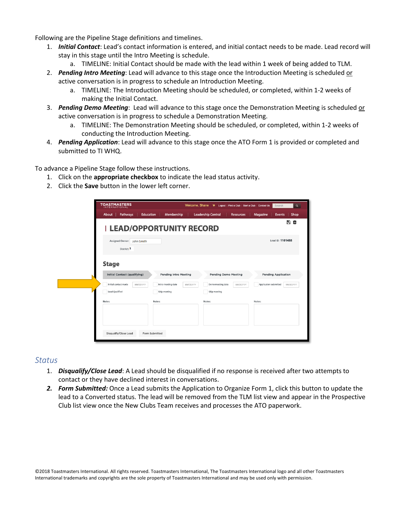Following are the Pipeline Stage definitions and timelines.

- 1. *Initial Contact*: Lead's contact information is entered, and initial contact needs to be made. Lead record will stay in this stage until the Intro Meeting is schedule. stay in this stage until the Intro Meeting is schedule.
	- a. TIMELINE: Initial Contact should be made with the lead within 1 week of being added to TLM.<br>ding later Meeting: Lead will advance to this stage anes the Istraduction Meeting is schoduled an
- 2. *Pending Intro Meeting*: Lead will advance to this stage once the Introduction Meeting is scheduled or active conversation is in progress to schedule an Introduction Meeting.
	- a. TIMELINE: The Introduction Meeting should be scheduled, or completed, within 1-2 weeks of making the Initial Contact.
- 3. *Pending Demo Meeting*: Lead will advance to this stage once the Demonstration Meeting is scheduled or active conversation is in progress to schedule a Demonstration Meeting.
	- a. TIMELINE: The Demonstration Meeting should be scheduled, or completed, within 1-2 weeks of conducting the Introduction Meeting.
- 4. *Pending Application*: Lead will advance to this stage once the ATO Form 1 is provided or completed and submitted to TI WHQ.

To advance a Pipeline Stage follow these instructions.

- 1. Click on the **appropriate checkbox** to indicate the lead status activity.
- 2. Click the **Save** button in the lower left corner.

| <b>TOASTMASTERS</b>                       |                                 | Welcome, Shane W Logout   Find a Club   Start a Club   Contact Us | Search<br>$\alpha$                 |
|-------------------------------------------|---------------------------------|-------------------------------------------------------------------|------------------------------------|
| Education<br>Pathways<br>About            | Membership                      | <b>Leadership Central</b><br><b>Resources</b>                     | Magazine<br><b>Events</b><br>Shop  |
|                                           | <b>LEAD/OPPORTUNITY RECORD</b>  |                                                                   | 日面                                 |
| Assigned Owner: John Smith<br>District: 1 |                                 |                                                                   | Lead ID: 1101488                   |
| <b>Stage</b>                              |                                 |                                                                   |                                    |
| <b>Initial Contact (qualifying)</b>       | <b>Pending Intro Meeting</b>    | <b>Pending Demo Meeting</b>                                       | <b>Pending Application</b>         |
| Initial contact made<br>MMDD/YYY          | Intro meeting date<br>MM/DD/YYY | Demo meeting date<br>MM/DD/YYY                                    | Application submitted<br>MM/DD/YYY |
| Lead Qualified                            | Skip meeting                    | Skip meeting                                                      |                                    |
| Notes:                                    | Notes:                          | Notes:                                                            | Notes:                             |
| Disqualify/Close Lead                     | Form Submitted                  |                                                                   |                                    |

#### *Status*

- 1. *Disqualify/Close Lead*: A Lead should be disqualified if no response is received after two attempts to contact or they have declined interest in conversations.
- *2. Form Submitted:* Once a Lead submits the Application to Organize Form 1, click this button to update the lead to a Converted status. The lead will be removed from the TLM list view and appear in the Prospective Club list view once the New Clubs Team receives and processes the ATO paperwork.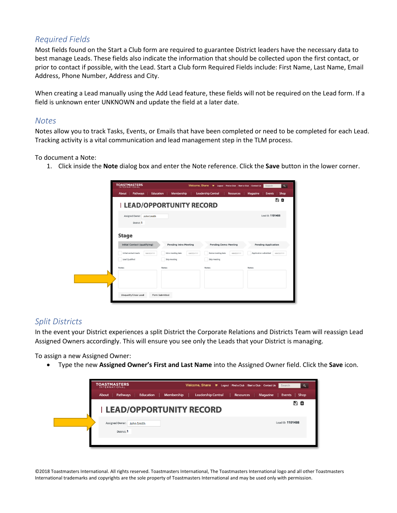## *Required Fields*

Most fields found on the Start a Club form are required to guarantee District leaders have the necessary data to<br>hest manage Leads. These fields also indicate the information that should be collected upon the first contact prior to contact if possible, with the Lead. Start a Club form Required Fields include: First Name, Last Name, Email best manage Leads. These fields also indicate the information that should be collected upon the first contact, or Address, Phone Number, Address and City.

When creating a Lead manually using the Add Lead feature, these fields will not be required on the Lead form. If a field is unknown enter UNKNOWN and update the field at a later date.

### *Notes*

Notes allow you to track Tasks, Events, or Emails that have been completed or need to be completed for each Lead. Tracking activity is a vital communication and lead management step in the TLM process.

To document a Note:

1. Click inside the **Note** dialog box and enter the Note reference. Click the **Save** button in the lower corner.

| <b>TOASTMASTERS</b>                       |                                  | Welcome, Shane Welcogout   Find a Club   Start a Club   Contact Us   Search | $\alpha$                          |
|-------------------------------------------|----------------------------------|-----------------------------------------------------------------------------|-----------------------------------|
| <b>Pathways</b><br>About                  | Education<br>Membership          | <b>Leadership Central</b><br>Resources                                      | Magazine<br>Shop<br><b>Events</b> |
|                                           | <b>I LEAD/OPPORTUNITY RECORD</b> |                                                                             | 周面                                |
| Assigned Owner: John Smith<br>District: 1 |                                  |                                                                             | Lead ID: 1101488                  |
| <b>Stage</b>                              |                                  |                                                                             |                                   |
| <b>Initial Contact (qualifying)</b>       | <b>Pending Intro Meeting</b>     | <b>Pending Demo Meeting</b>                                                 | <b>Pending Application</b>        |
| Initial contact made<br>MMDD/YYY          | Intro meeting date<br>MM/DD/YYY  | Demo meeting date<br>MMDD/YYY                                               | Application submitted<br>MMDD/YYY |
| Lead Qualified                            | Skip meeting                     | Skip meeting                                                                |                                   |
| Notes:                                    | Notes:                           | Notes:                                                                      | Notes:                            |
|                                           |                                  |                                                                             |                                   |
|                                           |                                  |                                                                             |                                   |
|                                           |                                  |                                                                             |                                   |
| Disqualify/Close Lead                     | Form Submitted                   |                                                                             |                                   |
|                                           |                                  |                                                                             |                                   |

### *Split Districts*

In the event your District experiences a split District the Corporate Relations and Districts Team will reassign Lead Assigned Owners accordingly. This will ensure you see only the Leads that your District is managing.

To assign a new Assigned Owner:

• Type the new **Assigned Owner's First and Last Name** into the Assigned Owner field. Click the **Save** icon.

| <b>Leadership Central</b><br><b>Resources</b><br>Magazine<br>Pathways<br>Education<br>Membership<br>Events<br><b>Shop</b><br>About<br>B û<br><b>I LEAD/OPPORTUNITY RECORD</b><br>Lead ID: 1101488<br>Assigned Owner:<br>John Smith | District: 1 | <b>TOASTMASTERS</b><br><b>INTERNATIONAL</b> | Welcome, Shane $\overline{w}$ Logout   Find a Club   Start a Club   Contact Us | Search<br>Q |
|------------------------------------------------------------------------------------------------------------------------------------------------------------------------------------------------------------------------------------|-------------|---------------------------------------------|--------------------------------------------------------------------------------|-------------|
|                                                                                                                                                                                                                                    |             |                                             |                                                                                |             |
|                                                                                                                                                                                                                                    |             |                                             |                                                                                |             |
|                                                                                                                                                                                                                                    |             |                                             |                                                                                |             |

©2018 Toastmasters International. All rights reserved. Toastmasters International, The Toastmasters International logo and all other Toastmasters International trademarks and copyrights are the sole property of Toastmasters International and may be used only with permission.